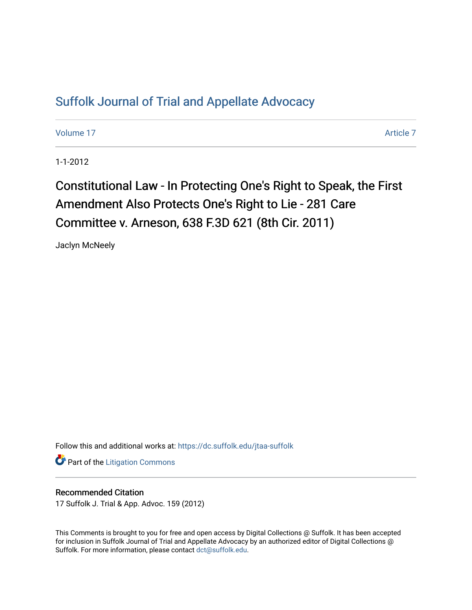## [Suffolk Journal of Trial and Appellate Advocacy](https://dc.suffolk.edu/jtaa-suffolk)

[Volume 17](https://dc.suffolk.edu/jtaa-suffolk/vol17) Article 7

1-1-2012

## Constitutional Law - In Protecting One's Right to Speak, the First Amendment Also Protects One's Right to Lie - 281 Care Committee v. Arneson, 638 F.3D 621 (8th Cir. 2011)

Jaclyn McNeely

Follow this and additional works at: [https://dc.suffolk.edu/jtaa-suffolk](https://dc.suffolk.edu/jtaa-suffolk?utm_source=dc.suffolk.edu%2Fjtaa-suffolk%2Fvol17%2Fiss1%2F7&utm_medium=PDF&utm_campaign=PDFCoverPages) 

**Part of the [Litigation Commons](http://network.bepress.com/hgg/discipline/910?utm_source=dc.suffolk.edu%2Fjtaa-suffolk%2Fvol17%2Fiss1%2F7&utm_medium=PDF&utm_campaign=PDFCoverPages)** 

## Recommended Citation

17 Suffolk J. Trial & App. Advoc. 159 (2012)

This Comments is brought to you for free and open access by Digital Collections @ Suffolk. It has been accepted for inclusion in Suffolk Journal of Trial and Appellate Advocacy by an authorized editor of Digital Collections @ Suffolk. For more information, please contact [dct@suffolk.edu.](mailto:dct@suffolk.edu)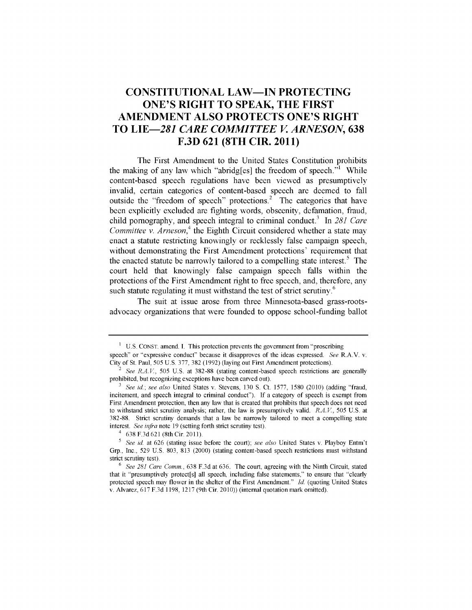## **CONSTITUTIONAL LAW-IN PROTECTING ONE'S RIGHT TO SPEAK, THE FIRST AMENDMENT ALSO PROTECTS ONE'S RIGHT TO** *LIE-281 CARE COMMITTEE V ARNESON,* **638 F.3D 621 (8TH CIR. 2011)**

The First Amendment to the United States Constitution prohibits the making of any law which "abridg[es] the freedom of speech." While content-based speech regulations have been viewed as presumptively invalid, certain categories of content-based speech are deemed to fall outside the "freedom of speech" protections.<sup>2</sup> The categories that have been explicitly excluded are fighting words, obscenity, defamation, fraud, child pornography, and speech integral to criminal conduct.<sup>3</sup> In 281 Care *Committee v. Arneson*,<sup>4</sup> the Eighth Circuit considered whether a state may enact a statute restricting knowingly or recklessly false campaign speech, without demonstrating the First Amendment protections' requirement that the enacted statute be narrowly tailored to a compelling state interest.<sup>5</sup> The court held that knowingly false campaign speech falls within the protections of the First Amendment right to free speech, and, therefore, any such statute regulating it must withstand the test of strict scrutiny.<sup>6</sup>

The suit at issue arose from three Minnesota-based grass-rootsadvocacy organizations that were founded to oppose school-funding ballot

**I** U.S. CONST. amend. I. This protection prevents the government from "proscribing

speech" or "expressive conduct" because it disapproves of the ideas expressed. *See* R.A.V. v. City of St. Paul, 505 U.S. 377, 382 (1992) (laying out First Amendment protections).

<sup>2</sup> *See R.A.V, 505* U.S. at 382-88 (stating content-based speech restrictions are generally prohibited, but recognizing exceptions have been carved out).

*<sup>3</sup>See id.; see also* United States v. Stevens, 130 **S.** Ct. 1577, 1580 (2010) (adding "fraud, incitement, and speech integral to criminal conduct"). If a category of speech is exempt from First Amendment protection, then any law that is created that prohibits that speech does not need to withstand strict scrutiny analysis; rather, the law is presumptively valid. *R.A.* V, *505* U.S. at 382-88. Strict scrutiny demands that a law be narrowly tailored to meet a compelling state interest. *See infra* note 19 (setting forth strict scrutiny test).

 $4\quad 638$  F.3d 621 (8th Cir. 2011).

*<sup>5</sup> See id.* at 626 (stating issue before the court); *see also* United States v. Playboy Entm't Grp., Inc., 529 U.S. 803, 813 (2000) (stating content-based speech restrictions must withstand strict scrutiny test).

<sup>6</sup>*See 281 Care Comm.,* 638 F.3d at 636. The court, agreeing with the Ninth Circuit, stated that it "presumptively protect[s] all speech, including false statements," to ensure that "clearly protected speech may flower in the shelter of the First Amendment." *Id.* (quoting United States v. Alvarez, 617 F.3d 1198, 1217 (9th Cir. 2010)) (internal quotation mark omitted).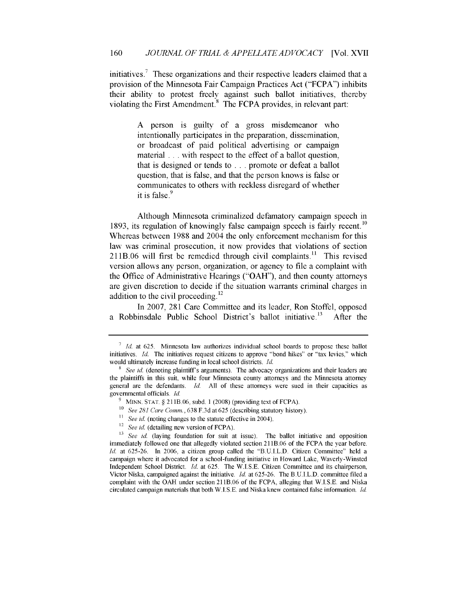initiatives.<sup>7</sup> These organizations and their respective leaders claimed that a provision of the Minnesota Fair Campaign Practices Act **("FCPA")** inhibits their ability to protest freely against such ballot initiatives, thereby violating the First Amendment.8 The **FCPA** provides, in relevant part:

> **A** person is guilty of a gross misdemeanor who intentionally participates in the preparation, dissemination, or broadcast of paid political advertising or campaign material  $\ldots$  with respect to the effect of a ballot question, that is designed or tends to **. . .** promote or defeat a ballot question, that is false, and that the person knows is false or communicates to others with reckless disregard of whether it is false.<sup>9</sup>

Although Minnesota criminalized defamatory campaign speech in 1893, its regulation of knowingly false campaign speech is fairly recent.<sup>10</sup> Whereas between **1988** and 2004 the only enforcement mechanism for this law was criminal prosecution, it now provides that violations of section  $211B.06$  will first be remedied through civil complaints.<sup>11</sup> This revised version allows any person, organization, or agency to file a complaint with the Office of Administrative Hearings **("OAH"),** and then county attorneys are given discretion to decide **if** the situation warrants criminal charges in addition to the civil proceeding. $^{12}$ 

In **2007, 281** Care Committee and its leader, Ron Stoffel, opposed a Robbinsdale Public School District's ballot initiative.<sup>13</sup> After the

- <sup>11</sup> *See id.* (noting changes to the statute effective in 2004).
- <sup>12</sup> See id. (detailing new version of FCPA).

*<sup>7</sup>Id.* at **625.** Minnesota law authorizes individual school boards to propose these ballot initiatives. *Id.* The initiatives request citizens to approve "bond hikes" or "tax levies," which would ultimately increase funding in local school districts. *Id.*

<sup>&</sup>lt;sup>8</sup> *See id.* (denoting plaintiff's arguments). The advocacy organizations and their leaders are the plaintiffs in this suit, while four Minnesota county attorneys and the Minnesota attorney general are the defendants. *Id.* **All** of these attorneys were sued in their capacities as governmental officials. *Id.*

**<sup>9</sup> MINN. STAT. §** 211B.06, subd. **1 (2008)** (providing text of **FCPA).**

**<sup>10</sup>** *See 281 Care Comm.,* **638 F.3d** at **625** (describing statutory history).

**<sup>13</sup>***See id.* (laying foundation for suit at issue). The ballot initiative and opposition immediately followed one that allegedly violated section 211B.06 of the **FCPA** the year before. *Id.* at **625-26.** In **2006,** a citizen group called the **"B.U.I.LD.** Citizen Committee" **held** a campaign where it advocated for a school-funding initiative in Howard Lake, Waverly-Winsted Independent School District. *Id.* at **625.** The WISE. Citizen Committee and its chairperson, Victor Niska, campaigned against the initiative. *Id.* at **625-26.** The **B.U.I.L.D. committee** filed a complaint with the **OAH** under section 211B.06 of the **FCPA,** alleging that **W.I.S.E.** and Niska circulated campaign materials that both **W.I.S.E** and Niska knew contained false information. *Id.*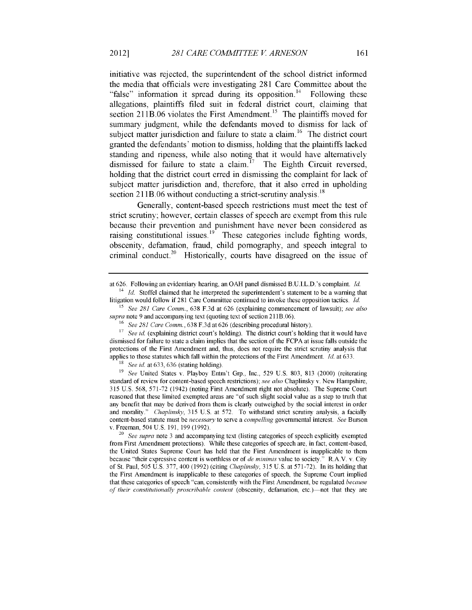initiative was rejected, the superintendent of the school district informed the media that officials were investigating 281 Care Committee about the "false" information it spread during its opposition.<sup>14</sup> Following these allegations, plaintiffs filed suit in federal district court, claiming that section 211B.06 violates the First Amendment.<sup>15</sup> The plaintiffs moved for summary judgment, while the defendants moved to dismiss for lack of subject matter jurisdiction and failure to state a claim.<sup>16</sup> The district court granted the defendants' motion to dismiss, holding that the plaintiffs lacked standing and ripeness, while also noting that it would have alternatively dismissed for failure to state a claim.<sup>17</sup> The Eighth Circuit reversed, holding that the district court erred in dismissing the complaint for lack of subject matter jurisdiction and, therefore, that it also erred in upholding section 211B.06 without conducting a strict-scrutiny analysis.<sup>18</sup>

Generally, content-based speech restrictions must meet the test of strict scrutiny; however, certain classes of speech are exempt from this rule because their prevention and punishment have never been considered as raising constitutional issues.  $19^{\circ}$  These categories include fighting words, obscenity, defamation, fraud, child pornography, and speech integral to criminal conduct.<sup>20</sup> Historically, courts have disagreed on the issue of

at 626. Following an evidentiary hearing, an **OAH** panel dismissed B.U.I.L.D.'s complaint. Id.  $14$  Id. Stoffel claimed that he interpreted the superintendent's statement to be a warning that

litigation would follow if 281 Care Committee continued to invoke these opposition tactics. Id. <sup>15</sup>*See* **281** *Care Comm.,* 638 F.3d at 626 (explaining commencement of lawsuit); *see also*

*supra* note 9 and accompanying text (quoting text of section 211B.06).

<sup>16</sup>*See* **281** *Care Comm.,* 638 F.3d at 626 (describing procedural history).

**<sup>17</sup>** *See* id. (explaining district court's holding). The district court's holding that it would have dismissed for failure to state a claim implies that the section of the FCPA at issue falls outside the protections of the First Amendment and, thus, does not require the strict scrutiny analysis that applies to those statutes which fall within the protections of the First Amendment. Id. at 633.

<sup>&</sup>lt;sup>18</sup> *See id.* at 633, 636 (stating holding).

<sup>&</sup>lt;sup>19</sup> *See* United States v. Playboy Entm't Grp., Inc., 529 U.S. 803, 813 (2000) (reiterating standard of review for content-based speech restrictions); *see also* Chaplinsky v. New Hampshire, 315 U.S. 568, 571-72 (1942) (noting First Amendment right not absolute). The Supreme Court reasoned that these limited exempted areas are "of such slight social value as a step to truth that any benefit that may be derived from them is clearly outweighed by the social interest in order and morality." *Chaplinsky,* 315 U.S. at 572. To withstand strict scrutiny analysis, a facially content-based statute must be *necessary* to serve a *compelling* governmental interest. *See* Burson v. Freeman, 504 U.S. 191, 199 (1992).

<sup>&</sup>lt;sup>20</sup> See supra note 3 and accompanying text (listing categories of speech explicitly exempted from First Amendment protections). While these categories of speech are, in fact, content-based, the United States Supreme Court has held that the First Amendment is inapplicable to them because "their expressive content is worthless or of *de minimis* value to society." R.A.V. v. City of St. Paul, 505 U.S. 377, 400 (1992) (citing *Chaplinsky,* 315 U.S. at 571-72). In its holding that the First Amendment is inapplicable to these categories of speech, the Supreme Court implied that these categories of speech "can, consistently with the First Amendment, be regulated *because of their constitutionally proscribable content* (obscenity, defamation, etc.)—not that they are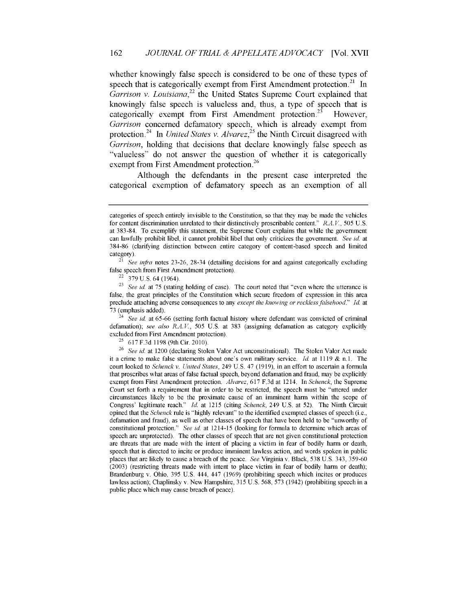whether knowingly false speech is considered to be one of these types of speech that is categorically exempt from First Amendment protection.<sup>21</sup> In *Garrison v. Louisiana*<sup>22</sup> the United States Supreme Court explained that knowingly false speech is valueless and, thus, a type of speech that is categorically exempt from First Amendment protection.<sup>23</sup> However, *Garrison* concerned defamatory speech, which is already exempt from protection.<sup>24</sup> In *United States v. Alvarez*,<sup>25</sup> the Ninth Circuit disagreed with *Garrison,* holding that decisions that declare knowingly false speech as "valueless" do not answer the question of whether it is categorically exempt from First Amendment protection.<sup>26</sup>

Although the defendants in the present case interpreted the categorical exemption of defamatory speech as an exemption of all

<sup>21</sup> See infra notes 23-26, 28-34 (detailing decisions for and against categorically excluding false speech from First Amendment protection).

<sup>22</sup>**379** U.S. 64 (1964).

**<sup>23</sup>***See id.* at 75 (stating holding of case). The court noted that "even where the utterance is false, the great principles of the Constitution which secure freedom of expression in this area preclude attaching adverse consequences to any *except the knowing or recklessfalsehood." Id.* at 73 (emphasis added).

 $24$  See id. at 65-66 (setting forth factual history where defendant was convicted of criminal defamation); see also R.A.V., 505 U.S. at 383 (assigning defamation as category explicitly excluded from First Amendment protection).

<sup>25</sup> 617 F.3d 1198 (9th Cir. 2010).

<sup>26</sup>*See id.* at 1200 (declaring Stolen Valor Act unconstitutional). The Stolen Valor Act made it a crime to make false statements about one's own military service. *Id.* at 1119 & n.1. The court looked to *Schenck v. United States,* 249 U.S. 47 (1919), in an effort to ascertain a formula that proscribes what areas of false factual speech, beyond defamation and fraud, may be explicitly exempt from First Amendment protection. *Alvarez,* 617 F.3d at 1214. In *Schenck,* the Supreme Court set forth a requirement that in order to be restricted, the speech must be "uttered under circumstances likely to be the proximate cause of an imminent harm within the scope of Congress' legitimate reach." *Id.* at 1215 (citing *Schenck,* 249 U.S. at 52). The Ninth Circuit opined that the *Schenck* rule is "highly relevant" to the identified exempted classes of speech (i.e., defamation and fraud), as well as other classes of speech that have been held to be "unworthy of constitutional protection." *See id.* at 1214-15 (looking for formula to determine which areas of speech are unprotected). The other classes of speech that are not given constitutional protection are threats that are made with the intent of placing a victim in fear of bodily harm or death, speech that is directed to incite or produce imminent lawless action, and words spoken in public places that are likely to cause a breach of the peace. *See* Virginia v. Black, 538 U.S. 343, 359-60 (2003) (restricting threats made with intent to place victim in fear of bodily harm or death); Brandenburg v. Ohio, 395 U.S. 444, 447 (1969) (prohibiting speech which incites or produces lawless action); Chaplinsky v. New Hampshire, 315 U.S. 568, 573 (1942) (prohibiting speechin a public place which may cause breach of peace).

categories of speech entirely invisible to the Constitution, so that they may be made the vehicles for content discrimination unrelated to their distinctively proscribable content." *R.A. V, 505* U.S. at 383-84. To exemplify this statement, the Supreme Court explains that while the government can lawfully prohibit libel, it cannot prohibit libel that only criticizes the government. *See id.* at 384-86 (clarifying distinction between entire category of content-based speech and limited category).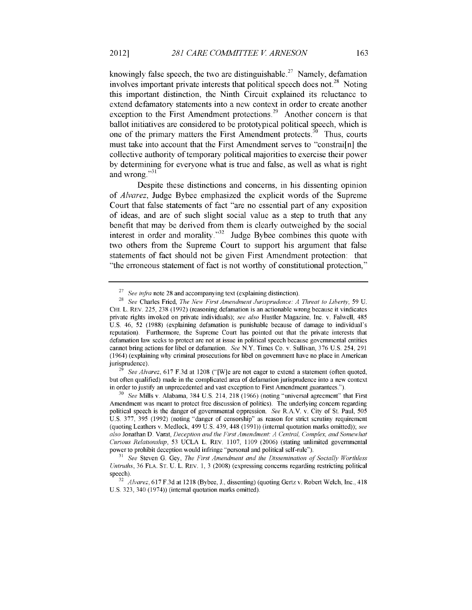knowingly false speech, the two are distinguishable **.27** Namely, defamation involves important private interests that political speech does **not.28 Noting** this important distinction, the Ninth Circuit explained its reluctance to extend defamatory statements into a new context in order to create another exception to the First Amendment protections.<sup>29</sup> Another concern is that ballot initiatives are considered to be prototypical political speech, which **is** one of the primary matters the First Amendment protects.<sup>30</sup> Thus, courts must take into account that the First Amendment serves to "constrai[n] the collective authority of temporary political majorities to exercise their power by determining for everyone what is true and false, as well as what is right and wrong."<sup>31</sup>

Despite these distinctions and concerns, in his dissenting opinion of *Alvarez,* Judge Bybee emphasized the explicit words of the Supreme Court that false statements of fact "are no essential part of any exposition of ideas, and are of such slight social value as a step to truth that any benefit that may be derived from them is clearly outweighed **by** the social interest in order and morality." $32$  Judge Bybee combines this quote with two others from the Supreme Court to support his argument that false statements of fact should not be given First Amendment protection: that "the erroneous statement of fact is not worthy of constitutional protection,"

**<sup>27</sup>***See infra* note 28 and accompanying text (explaining distinction).

<sup>28</sup>*See* Charles Fried, *The New First Amendment Jurisprudence: A Threat to Liberty, 59* U. CHL L. REv. 225, 238 (1992) (reasoning defamation is an actionable wrong because it vindicates private rights invoked on private individuals); *see also* Hustler Magazine, Inc. v. Falwell, 485 U.S. 46, 52 (1988) (explaining defamation is punishable because of damage to individual's reputation). Furthermore, the Supreme Court has pointed out that the private interests that defamation law seeks to protect are not at issue in political speech because governmental entities cannot bring actions for libel or defamation. *See* N.Y. Times Co. v. Sullivan, 376 U.S. 254, 291 (1964) (explaining why criminal pmsecutions for libel on government have no place in American jurisprudence).

<sup>29</sup>*See Alvarez,* 617 F.3d at 1208 ("[W]e are not eager to extend a statement (often quoted, but often qualified) made in the complicated area of defamation jurisprudence into a new context in order to justify an unprecedented and vast exception to First Amendment guarantees.").

<sup>30</sup>*See* Mills v. Alabama, 384 U.S. 214, 218 (1966) (noting "universal agreement" that First Amendment was meant to protect free discussion of politics). The underlying concern regarding political speech is the danger of governmental oppression. *See* R.A.V. v. City of St. Paul, 505 U.S. 377, 395 (1992) (noting "danger of censorship" as reason for strict scrutiny requirement (quoting Leathers v. Medlock, 499 U.S. 439, 448 (1991)) (internal quotation marks omitted)); *see also* Jonathan D. Varat, *Deception and the First Amendment: A Central, Complex, and Somewhat Curious Relationship,* 53 UCLA L. REv. 1107, 1109 (2006) (stating unlimited governmental power to prohibit deception would infringe "personal and political self-rule").

<sup>31</sup>*See* Steven G. Gey, *The First Amendment and the Dissemination of Socially Worthless Untruths,* 36 FLA. **ST.** U. L. REv. 1, 3 (2008) (expressing concerns regarding restricting political speech).

<sup>&</sup>lt;sup>32</sup> Alvarez, 617 F.3d at 1218 (Bybee, J., dissenting) (quoting Gertz v. Robert Welch, Inc., 418 U.S. 323, 340 (1974)) (internal quotation marks omitted).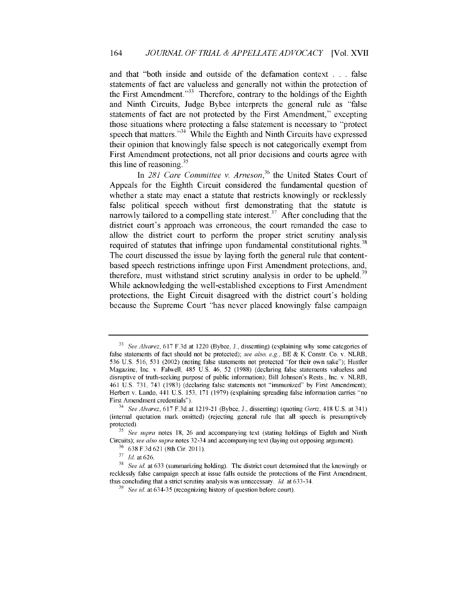and that "both inside and outside of the defamation context . . . false statements of fact are valueless and generally not within the protection of the First Amendment."<sup>33</sup> Therefore, contrary to the holdings of the Eighth and Ninth Circuits, Judge Bybee interprets the general rule as "false statements of fact are not protected by the First Amendment," excepting those situations where protecting a false statement is necessary to "protect speech that matters."<sup>34</sup> While the Eighth and Ninth Circuits have expressed their opinion that knowingly false speech is not categorically exempt from First Amendment protections, not all prior decisions and courts agree with this line of reasoning. $3<sup>5</sup>$ 

In **281** *Care Committee* v. *Arneson,<sup>36</sup>*the United States Court of Appeals for the Eighth Circuit considered the fundamental question of whether a state may enact a statute that restricts knowingly or recklessly false political speech without first demonstrating that the statute is narrowly tailored to a compelling state interest. $37$  After concluding that the district court's approach was erroneous, the court remanded the case to allow the district court to perform the proper strict scrutiny analysis required of statutes that infringe upon fundamental constitutional rights.<sup>38</sup> The court discussed the issue by laying forth the general rule that contentbased speech restrictions infringe upon First Amendment protections, and, therefore, must withstand strict scrutiny analysis in order to be upheld.<sup>39</sup> While acknowledging the well-established exceptions to First Amendment protections, the Eight Circuit disagreed with the district court's holding because the Supreme Court "has never placed knowingly false campaign

**<sup>33</sup>***See Alvarez,* 617 F.3d at 1220 (Bybee, J., dissenting) (explaining why some categories of false statements of fact should not be protected); *see also, e.g.,* BE & K Constr. Co. v. NLRB, 536 U.S. 516, 531 (2002) (noting false statements not protected "for their own sake"); Hustler Magazine, Inc. v. Falwell, 485 U.S. 46, 52 (1988) (declaring false statements valueless and disruptive of truth-seeking purpose of public information); Bill Johnson's Rests., Inc. v. NLRB, 461 U.S. 731, 743 (1983) (declaring false statements not "immunized" by First Amendment); Herbert v. Lando, 441 U.S. 153, 171 (1979) (explaining spreading false information carries "no First Amendment credentials").

<sup>34</sup>*See Alvarez,* 617 F.3d at 1219-21 (Bybee, J., dissenting) (quoting *Gertz,* 418 U.S. at 341) (internal quotation mark omitted) (rejecting general rule that all speech is presumptively protected).

**<sup>35</sup>***See supra* notes 18, 26 and accompanying text (stating holdings of Eighth and Ninth Circuits); *see also supra* notes 32-34 and accompanying text (laying out opposing argument).

 $36\quad 638$  F.3d 621 (8th Cir. 2011).

**<sup>37</sup>** Id. at 626.

<sup>&</sup>lt;sup>38</sup> See id. at 633 (summarizing holding). The district court determined that the knowingly or recklessly false campaign speech at issue falls outside the protections of the First Amendment, thus concluding that a strict scrutiny analysis was unnecessary. Id. at 633-34.

**<sup>39</sup>** *See* id. at 634-35 (recognizing history of question before court).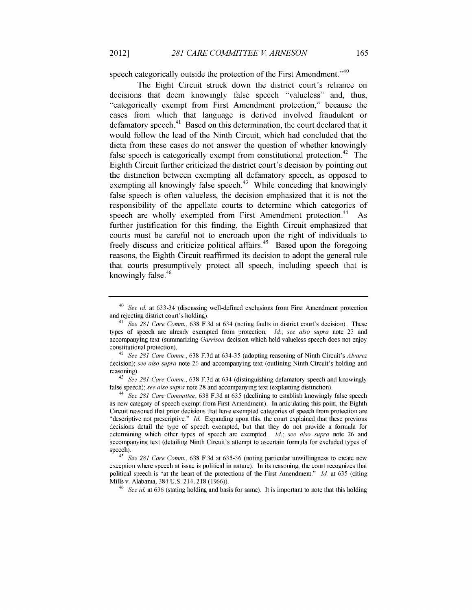speech categorically outside the protection of the First Amendment.<sup>740</sup>

The Eight Circuit struck down the district court's reliance on decisions that deem knowingly false speech "valueless" and, thus, "categorically exempt from First Amendment protection," because the cases from which that language is derived involved fraudulent or defamatory speech. $4$ <sup>1</sup> Based on this determination, the court declared that it would follow the lead of the Ninth Circuit, which had concluded that the dicta from these cases do not answer the question of whether knowingly false speech is categorically exempt from constitutional protection.<sup>42</sup> The Eighth Circuit further criticized the district court's decision by pointing out the distinction between exempting all defamatory speech, as opposed to exempting all knowingly false speech.<sup> $43$ </sup> While conceding that knowingly false speech is often valueless, the decision emphasized that it is not the responsibility of the appellate courts to determine which categories of speech are wholly exempted from First Amendment protection.<sup>44</sup> As further justification for this finding, the Eighth Circuit emphasized that courts must be careful not to encroach upon the right of individuals to freely discuss and criticize political affairs.<sup> $45$ </sup> Based upon the foregoing reasons, the Eighth Circuit reaffirmed its decision to adopt the general rule that courts presumptively protect all speech, including speech that is knowingly false.<sup>46</sup>

<sup>46</sup>*See id.* at 636 (stating holding and basis for same). It is important to note that this holding

<sup>40</sup>*See id.* at 633-34 (discussing well-defined exclusions from First Amendment protection and rejecting district court's holding).

<sup>41</sup>*See 281 Care Comm.,* 638 F.3d at 634 (noting faults in district court's decision). These types of speech are already exempted from protection. *Id.; see also supra* note 23 and accompanying text (summarizing *Garrison* decision which held valueless speech does not enjoy constitutional protection).

<sup>42</sup>*See 281 Care Comm.,* 638 F.3d at 634-35 (adopting reasoning of Ninth Circuit's *Alvarez* decision); *see also supra* note 26 and accompanying text (outlining Ninth Circuit's holding and reasoning).

*<sup>43</sup>See 281 Care* Comm., 638 F.3d at 634 (distinguishing defamatory speech and knowingly false speech); *see also supra* note 28 and accompanying text (explaining distinction).

<sup>44</sup>*See 281 Care Committee,* 638 F.3d at 635 (declining to establish knowingly false speech as new category of speech exempt from First Amendment). In articulating this point, the Eighth Circuit reasoned that prior decisions that have exempted categories of speech from protection are "descriptive not prescriptive." *Id.* Expanding upon this, the court explained that these previous decisions detail the type of speech exempted, but that they do not provide a formula for determining which other types of speech are exempted. *Id.; see also supra* note 26 and accompanying text (detailing Ninth Circuit's attempt to ascertain formula for excluded types of speech).

<sup>45</sup>*See 281 Care Comm.,* 638 F.3d at 635-36 (noting particular unwillingness to create new exception where speech at issue is political in nature). In its reasoning, the court recognizes that political speech is "at the heart of the protections of the First Amendment." *Id.* at 635 (citing Mills v. Alabama, 384 U.S. 214, 218 (1966)).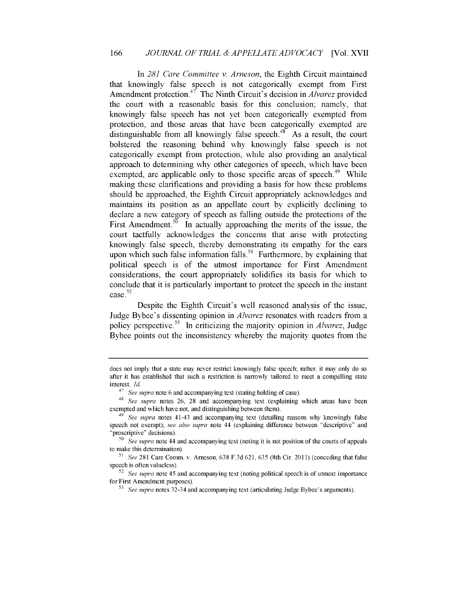In *281 Care Committee v. Arneson,* the Eighth Circuit maintained that knowingly false speech is not categorically exempt from First Amendment protection.<sup>47</sup> The Ninth Circuit's decision in *Alvarez* provided the court with a reasonable basis for this conclusion; namely, that knowingly false speech has not yet been categorically exempted from protection, and those areas that have been categorically exempted are distinguishable from all knowingly false speech.<sup>48</sup> As a result, the court bolstered the reasoning behind why knowingly false speech is not categorically exempt from protection, while also providing an analytical approach to determining why other categories of speech, which have been exempted, are applicable only to those specific areas of speech.<sup> $49$ </sup> While making these clarifications and providing a basis for how these problems should be approached, the Eighth Circuit appropriately acknowledges and maintains its position as an appellate court by explicitly declining to declare a new category of speech as falling outside the protections of the First Amendment. $5\overline{0}$  In actually approaching the merits of the issue, the court tactfully acknowledges the concerns that arise with protecting knowingly false speech, thereby demonstrating its empathy for the ears upon which such false information falls.<sup>51</sup> Furthermore, by explaining that political speech is of the utmost importance for First Amendment considerations, the court appropriately solidifies its basis for which to conclude that it is particularly important to protect the speech in the instant **52** case.

Despite the Eighth Circuit's well reasoned analysis of the issue, Judge Bybee's dissenting opinion in *Alvarez* resonates with readers from a policy perspective **. 5 '** In criticizing the majority opinion in *Alvarez,* Judge Bybee points out the inconsistency whereby the majority quotes from the

does not imply that a state may never restrict knowingly false speech; rather, it may only do so after it has established that such a restriction is narrowly tailored to meet a compelling state interest. *Id.*

<sup>47</sup>*See supra* note 6 and accompanying text (stating holding of case).

<sup>48</sup>*See supra* notes 26, 28 and accompanying text (explaining which areas have been exempted and which have not, and distinguishing between them).

<sup>49</sup>*See supra* notes 41-43 and accompanying text (detailing reasons why knowingly false speech not exempt); *see also supra* note 44 (explaining difference between "descriptive" and "proscriptive" decisions).

*<sup>50</sup>See supra* note 44 and accompanying text (noting it is not position of the courts of appeals to make this determination).

*<sup>51</sup> See* 281 Care Comm. v. Arneson, 638 F.3d 621, 635 (8th Cir. 2011) (conceding that false speech is often valueless).

**<sup>52</sup>***See supra* note 45 and accompanying text (noting political speech is of utmost importance for First Amendment purposes).

*<sup>53</sup> See supra* notes 32-34 and accompanying text (articulating Judge Bybee's arguments).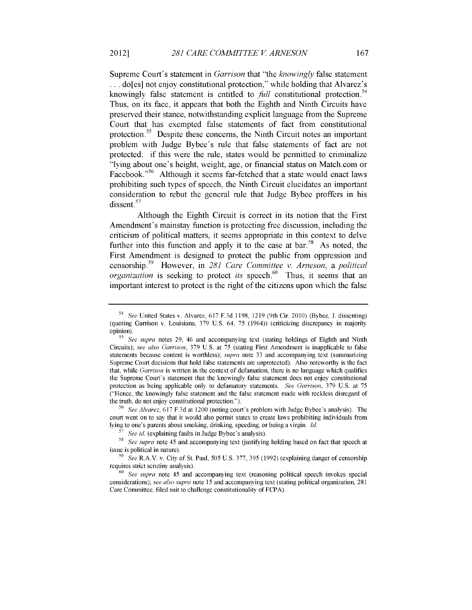Supreme Court's statement in *Garrison* that "the *knowingly* false statement **...** do[es] not enjoy constitutional protection," while holding that Alvarez's knowingly false statement is entitled to *full* constitutional protection.<sup>54</sup> Thus, on its face, it appears that both the Eighth and Ninth Circuits have preserved their stance, notwithstanding explicit language from the Supreme Court that has exempted false statements of fact from constitutional protection.<sup>55</sup> Despite these concerns, the Ninth Circuit notes an important problem with Judge Bybee's rule that false statements of fact are not protected: if this were the rule, states would be permitted to criminalize "lying about one's height, weight, age, or financial status on Match.com or Facebook."<sup>56</sup> Although it seems far-fetched that a state would enact laws prohibiting such types of speech, the Ninth Circuit elucidates an important consideration to rebut the general rule that Judge Bybee proffers in his dissent. $57$ 

Although the Eighth Circuit is correct in its notion that the First Amendment's mainstay function is protecting free discussion, including the criticism of political matters, it seems appropriate in this context to delve further into this function and apply it to the case at bar.<sup>58</sup> As noted, the First Amendment is designed to protect the public from oppression and censorship.<sup>59</sup> However, in 281 *Care Committee v. Arneson*, a *political organization* is seeking to protect *its* speech.<sup>60</sup> Thus, it seems that an important interest to protect is the right of the citizens upon which the false

<sup>54</sup> *See* United States v. Alvarez, 617 F.3d 1198, 1219 (9th Cir. 2010) (Bybee, J. dissenting) (quoting Garrison v. Louisiana, 379 U.S. 64, 75 (1964)) (criticizing discrepancy in majority opinion).

**<sup>55</sup>** *See supra* notes 29, 46 and accompanying text (stating holdings of Eighth and Ninth Circuits); see *also Garrison,* 379 U.S. at 75 (stating First Amendment is inapplicable to false statements because content is worthless); *supra* note 33 and accompanying text (summarizing Supreme Court decisions that hold false statements are unprotected). Also noteworthy is the fact that, while *Garrison* is written in the context of defamation, there is no language which qualifies the Supreme Court's statement that the knowingly false statement does not enjoy constitutional protection as being applicable only to defamatory statements. *See Garrison,* 379 U.S. at 75 ("Hence, the knowingly false statement and the false statement made with reckless disregard of the truth, do not enjoy constitutional protection.").

<sup>56</sup>*See Alvarez,* 617 F.3d at 1200 (noting court's problem with Judge Bybee's analysis). The court went on to say that it would also permit states to create laws prohibiting individuals from lying to one's parents about smoking, drinking, speeding, or being a virgin. *Id.*

**<sup>57</sup>***See id.* (explaining faults in Judge Bybee's analysis).

**<sup>58</sup>** *See supra* note 45 and accompanying text (justifying holding based on fact that speech at issue is political in nature).

**<sup>59</sup>** *See* R.A.V. v. City of St. Paul, 505 U.S. 377, 395 (1992) (explaining danger of censorship requires strict scrutiny analysis).

<sup>&</sup>lt;sup>50</sup> *See supra* note 45 and accompanying text (reasoning political speech invokes special considerations); see *also supra* note 15 and accompanying text (stating political organization. 281 Care Committee, filed suit to challenge constitutionality of FCPA).